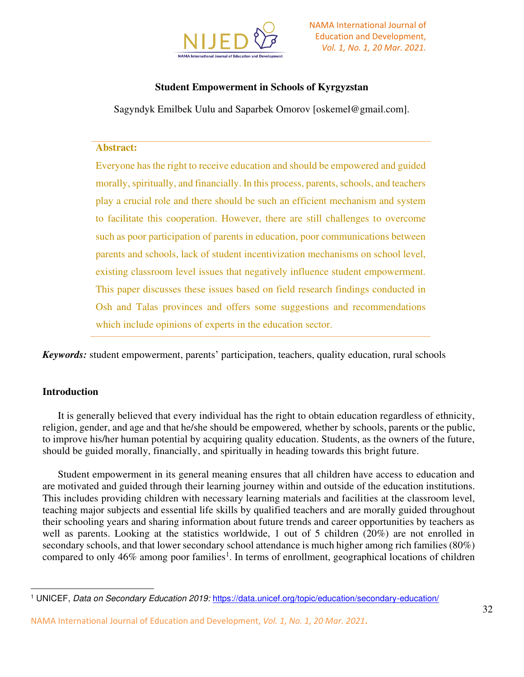

# **Student Empowerment in Schools of Kyrgyzstan**

Sagyndyk Emilbek Uulu and Saparbek Omorov [oskemel@gmail.com].

### **Abstract:**

Everyone has the right to receive education and should be empowered and guided morally, spiritually, and financially. In this process, parents, schools, and teachers play a crucial role and there should be such an efficient mechanism and system to facilitate this cooperation. However, there are still challenges to overcome such as poor participation of parents in education, poor communications between parents and schools, lack of student incentivization mechanisms on school level, existing classroom level issues that negatively influence student empowerment. This paper discusses these issues based on field research findings conducted in Osh and Talas provinces and offers some suggestions and recommendations which include opinions of experts in the education sector.

*Keywords:* student empowerment, parents' participation, teachers, quality education, rural schools

## **Introduction**

It is generally believed that every individual has the right to obtain education regardless of ethnicity, religion, gender, and age and that he/she should be empowered*,* whether by schools, parents or the public, to improve his/her human potential by acquiring quality education. Students, as the owners of the future, should be guided morally, financially, and spiritually in heading towards this bright future.

Student empowerment in its general meaning ensures that all children have access to education and are motivated and guided through their learning journey within and outside of the education institutions. This includes providing children with necessary learning materials and facilities at the classroom level, teaching major subjects and essential life skills by qualified teachers and are morally guided throughout their schooling years and sharing information about future trends and career opportunities by teachers as well as parents. Looking at the statistics worldwide, 1 out of 5 children (20%) are not enrolled in secondary schools, and that lower secondary school attendance is much higher among rich families (80%) compared to only 46% among poor families<sup>1</sup>. In terms of enrollment, geographical locations of children

NAMA International Journal of Education and Development, *Vol. 1, No. 1, 20 Mar. 2021***.** 

<sup>1</sup> UNICEF, *Data on Secondary Education 2019:* <https://data.unicef.org/topic/education/secondary-education/>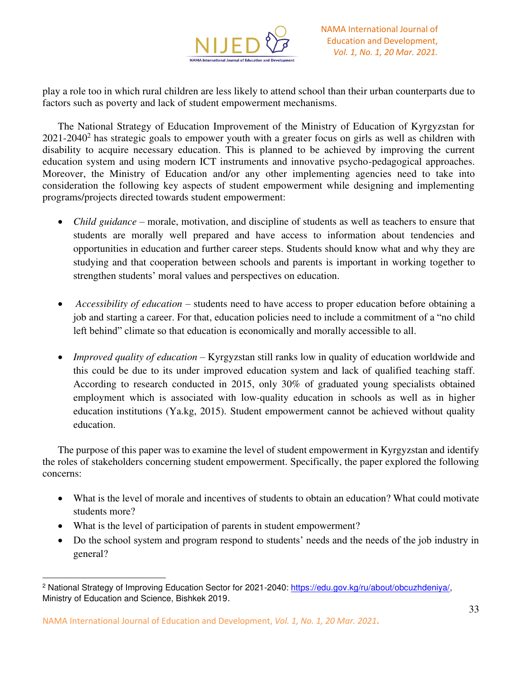

play a role too in which rural children are less likely to attend school than their urban counterparts due to factors such as poverty and lack of student empowerment mechanisms.

The National Strategy of Education Improvement of the Ministry of Education of Kyrgyzstan for  $2021-2040<sup>2</sup>$  has strategic goals to empower youth with a greater focus on girls as well as children with disability to acquire necessary education. This is planned to be achieved by improving the current education system and using modern ICT instruments and innovative psycho-pedagogical approaches. Moreover, the Ministry of Education and/or any other implementing agencies need to take into consideration the following key aspects of student empowerment while designing and implementing programs/projects directed towards student empowerment:

- *Child guidance* morale, motivation, and discipline of students as well as teachers to ensure that students are morally well prepared and have access to information about tendencies and opportunities in education and further career steps. Students should know what and why they are studying and that cooperation between schools and parents is important in working together to strengthen students' moral values and perspectives on education.
- *Accessibility of education* students need to have access to proper education before obtaining a job and starting a career. For that, education policies need to include a commitment of a "no child left behind" climate so that education is economically and morally accessible to all.
- *Improved quality of education* Kyrgyzstan still ranks low in quality of education worldwide and this could be due to its under improved education system and lack of qualified teaching staff. According to research conducted in 2015, only 30% of graduated young specialists obtained employment which is associated with low-quality education in schools as well as in higher education institutions (Ya.kg, 2015). Student empowerment cannot be achieved without quality education.

The purpose of this paper was to examine the level of student empowerment in Kyrgyzstan and identify the roles of stakeholders concerning student empowerment. Specifically, the paper explored the following concerns:

- What is the level of morale and incentives of students to obtain an education? What could motivate students more?
- What is the level of participation of parents in student empowerment?
- Do the school system and program respond to students' needs and the needs of the job industry in general?

<sup>&</sup>lt;sup>2</sup> National Strategy of Improving Education Sector for 2021-2040: [https://edu.gov.kg/ru/about/obcuzhdeniya/,](https://edu.gov.kg/ru/about/obcuzhdeniya/) Ministry of Education and Science, Bishkek 2019.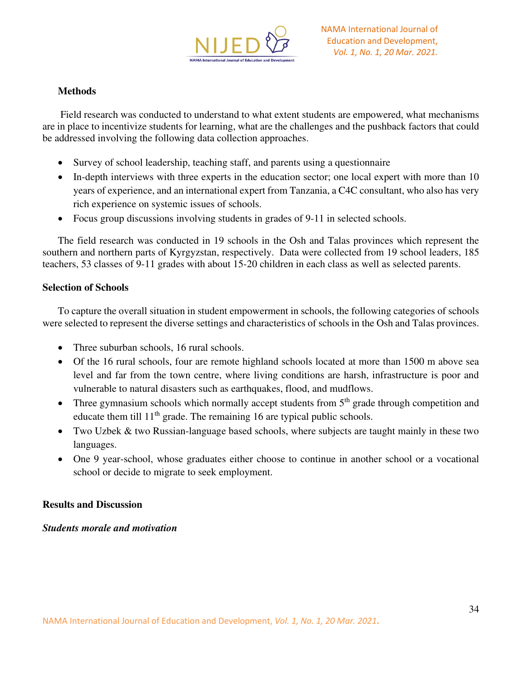

## **Methods**

 Field research was conducted to understand to what extent students are empowered, what mechanisms are in place to incentivize students for learning, what are the challenges and the pushback factors that could be addressed involving the following data collection approaches.

- Survey of school leadership, teaching staff, and parents using a questionnaire
- In-depth interviews with three experts in the education sector; one local expert with more than 10 years of experience, and an international expert from Tanzania, a C4C consultant, who also has very rich experience on systemic issues of schools.
- Focus group discussions involving students in grades of 9-11 in selected schools.

The field research was conducted in 19 schools in the Osh and Talas provinces which represent the southern and northern parts of Kyrgyzstan, respectively. Data were collected from 19 school leaders, 185 teachers, 53 classes of 9-11 grades with about 15-20 children in each class as well as selected parents.

## **Selection of Schools**

To capture the overall situation in student empowerment in schools, the following categories of schools were selected to represent the diverse settings and characteristics of schools in the Osh and Talas provinces.

- Three suburban schools, 16 rural schools.
- Of the 16 rural schools, four are remote highland schools located at more than 1500 m above sea level and far from the town centre, where living conditions are harsh, infrastructure is poor and vulnerable to natural disasters such as earthquakes, flood, and mudflows.
- Three gymnasium schools which normally accept students from  $5<sup>th</sup>$  grade through competition and educate them till  $11<sup>th</sup>$  grade. The remaining 16 are typical public schools.
- Two Uzbek & two Russian-language based schools, where subjects are taught mainly in these two languages.
- One 9 year-school, whose graduates either choose to continue in another school or a vocational school or decide to migrate to seek employment.

## **Results and Discussion**

## *Students morale and motivation*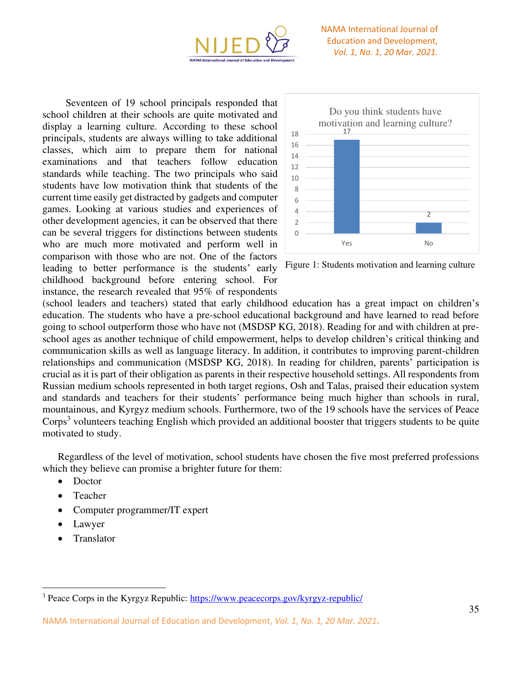

Seventeen of 19 school principals responded that school children at their schools are quite motivated and display a learning culture. According to these school principals, students are always willing to take additional classes, which aim to prepare them for national examinations and that teachers follow education standards while teaching. The two principals who said students have low motivation think that students of the current time easily get distracted by gadgets and computer games. Looking at various studies and experiences of other development agencies, it can be observed that there can be several triggers for distinctions between students who are much more motivated and perform well in comparison with those who are not. One of the factors leading to better performance is the students' early childhood background before entering school. For instance, the research revealed that 95% of respondents



Figure 1: Students motivation and learning culture

(school leaders and teachers) stated that early childhood education has a great impact on children's education. The students who have a pre-school educational background and have learned to read before going to school outperform those who have not (MSDSP KG, 2018). Reading for and with children at preschool ages as another technique of child empowerment, helps to develop children's critical thinking and communication skills as well as language literacy. In addition, it contributes to improving parent-children relationships and communication (MSDSP KG, 2018). In reading for children, parents' participation is crucial as it is part of their obligation as parents in their respective household settings. All respondents from Russian medium schools represented in both target regions, Osh and Talas, praised their education system and standards and teachers for their students' performance being much higher than schools in rural, mountainous, and Kyrgyz medium schools. Furthermore, two of the 19 schools have the services of Peace Corps<sup>3</sup> volunteers teaching English which provided an additional booster that triggers students to be quite motivated to study.

Regardless of the level of motivation, school students have chosen the five most preferred professions which they believe can promise a brighter future for them:

- Doctor
- Teacher
- Computer programmer/IT expert
- Lawyer
- Translator

<sup>&</sup>lt;sup>3</sup> Peace Corps in the Kyrgyz Republic:<https://www.peacecorps.gov/kyrgyz-republic/>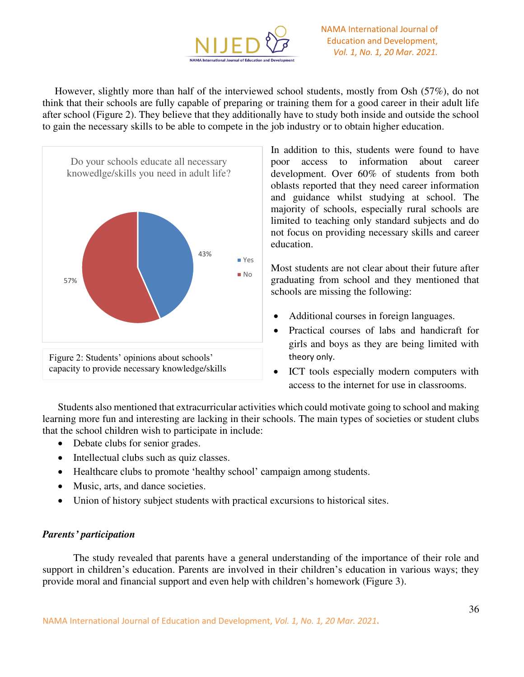

However, slightly more than half of the interviewed school students, mostly from Osh (57%), do not think that their schools are fully capable of preparing or training them for a good career in their adult life after school (Figure 2). They believe that they additionally have to study both inside and outside the school to gain the necessary skills to be able to compete in the job industry or to obtain higher education.



In addition to this, students were found to have poor access to information about career development. Over 60% of students from both oblasts reported that they need career information and guidance whilst studying at school. The majority of schools, especially rural schools are limited to teaching only standard subjects and do not focus on providing necessary skills and career education.

Most students are not clear about their future after graduating from school and they mentioned that schools are missing the following:

- Additional courses in foreign languages.
- Practical courses of labs and handicraft for girls and boys as they are being limited with theory only.
- ICT tools especially modern computers with access to the internet for use in classrooms.

Students also mentioned that extracurricular activities which could motivate going to school and making learning more fun and interesting are lacking in their schools. The main types of societies or student clubs that the school children wish to participate in include:

- Debate clubs for senior grades.
- Intellectual clubs such as quiz classes.
- Healthcare clubs to promote 'healthy school' campaign among students.
- Music, arts, and dance societies.
- Union of history subject students with practical excursions to historical sites.

## *Parents' participation*

The study revealed that parents have a general understanding of the importance of their role and support in children's education. Parents are involved in their children's education in various ways; they provide moral and financial support and even help with children's homework (Figure 3).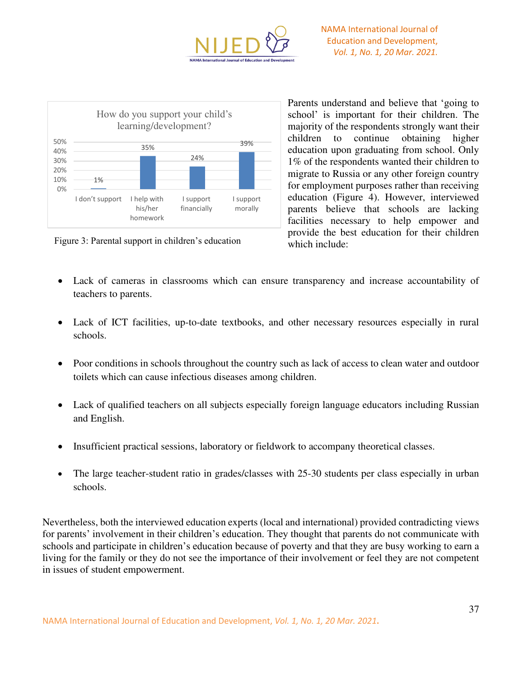



Figure 3: Parental support in children's education

Parents understand and believe that 'going to school' is important for their children. The majority of the respondents strongly want their children to continue obtaining higher education upon graduating from school. Only 1% of the respondents wanted their children to migrate to Russia or any other foreign country for employment purposes rather than receiving education (Figure 4). However, interviewed parents believe that schools are lacking facilities necessary to help empower and provide the best education for their children which include:

- Lack of cameras in classrooms which can ensure transparency and increase accountability of teachers to parents.
- Lack of ICT facilities, up-to-date textbooks, and other necessary resources especially in rural schools.
- Poor conditions in schools throughout the country such as lack of access to clean water and outdoor toilets which can cause infectious diseases among children.
- Lack of qualified teachers on all subjects especially foreign language educators including Russian and English.
- Insufficient practical sessions, laboratory or fieldwork to accompany theoretical classes.
- The large teacher-student ratio in grades/classes with 25-30 students per class especially in urban schools.

Nevertheless, both the interviewed education experts (local and international) provided contradicting views for parents' involvement in their children's education. They thought that parents do not communicate with schools and participate in children's education because of poverty and that they are busy working to earn a living for the family or they do not see the importance of their involvement or feel they are not competent in issues of student empowerment.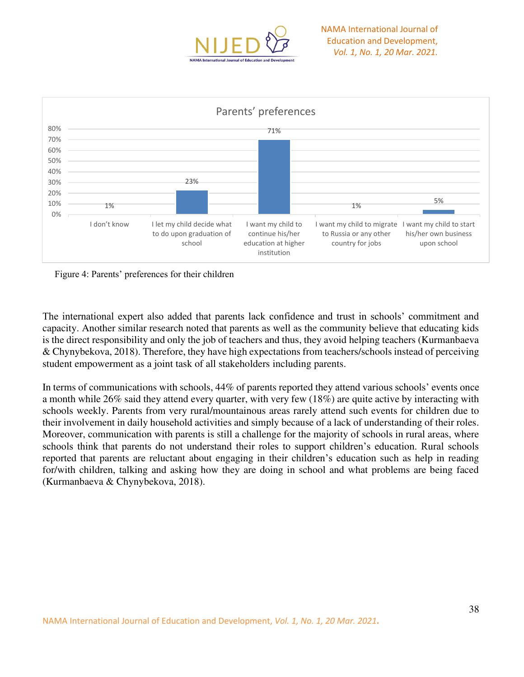



Figure 4: Parents' preferences for their children

The international expert also added that parents lack confidence and trust in schools' commitment and capacity. Another similar research noted that parents as well as the community believe that educating kids is the direct responsibility and only the job of teachers and thus, they avoid helping teachers (Kurmanbaeva & Chynybekova, 2018). Therefore, they have high expectations from teachers/schools instead of perceiving student empowerment as a joint task of all stakeholders including parents.

In terms of communications with schools, 44% of parents reported they attend various schools' events once a month while 26% said they attend every quarter, with very few (18%) are quite active by interacting with schools weekly. Parents from very rural/mountainous areas rarely attend such events for children due to their involvement in daily household activities and simply because of a lack of understanding of their roles. Moreover, communication with parents is still a challenge for the majority of schools in rural areas, where schools think that parents do not understand their roles to support children's education. Rural schools reported that parents are reluctant about engaging in their children's education such as help in reading for/with children, talking and asking how they are doing in school and what problems are being faced (Kurmanbaeva & Chynybekova, 2018).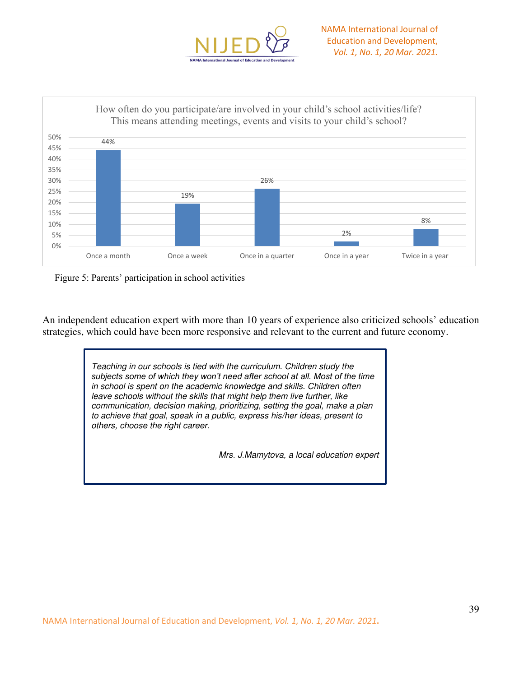





An independent education expert with more than 10 years of experience also criticized schools' education strategies, which could have been more responsive and relevant to the current and future economy.

> *Teaching in our schools is tied with the curriculum. Children study the subjects some of which they won't need after school at all. Most of the time in school is spent on the academic knowledge and skills. Children often leave schools without the skills that might help them live further, like communication, decision making, prioritizing, setting the goal, make a plan to achieve that goal, speak in a public, express his/her ideas, present to others, choose the right career.*

> > *Mrs. J.Mamytova, a local education expert*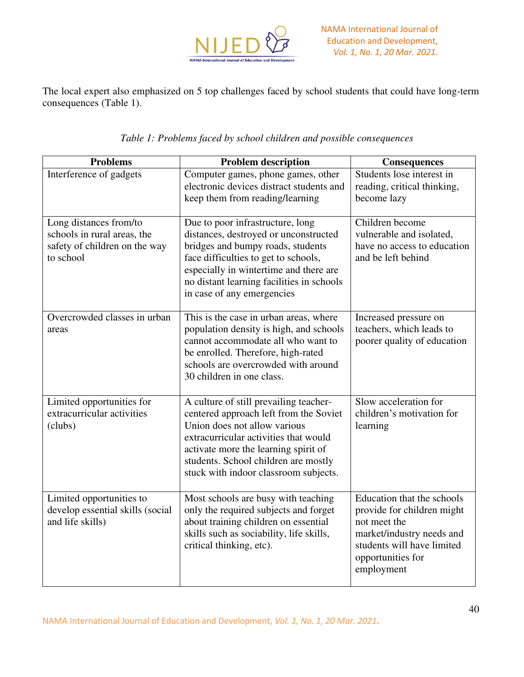

The local expert also emphasized on 5 top challenges faced by school students that could have long-term consequences (Table 1).

| <b>Problems</b>                                                                                     | <b>Problem description</b>                                                                                                                                                                                                                                                         | <b>Consequences</b>                                                                                                                                                    |
|-----------------------------------------------------------------------------------------------------|------------------------------------------------------------------------------------------------------------------------------------------------------------------------------------------------------------------------------------------------------------------------------------|------------------------------------------------------------------------------------------------------------------------------------------------------------------------|
| Interference of gadgets                                                                             | Computer games, phone games, other<br>electronic devices distract students and<br>keep them from reading/learning                                                                                                                                                                  | Students lose interest in<br>reading, critical thinking,<br>become lazy                                                                                                |
| Long distances from/to<br>schools in rural areas, the<br>safety of children on the way<br>to school | Due to poor infrastructure, long<br>distances, destroyed or unconstructed<br>bridges and bumpy roads, students<br>face difficulties to get to schools,<br>especially in wintertime and there are<br>no distant learning facilities in schools<br>in case of any emergencies        | Children become<br>vulnerable and isolated,<br>have no access to education<br>and be left behind                                                                       |
| Overcrowded classes in urban<br>areas                                                               | This is the case in urban areas, where<br>population density is high, and schools<br>cannot accommodate all who want to<br>be enrolled. Therefore, high-rated<br>schools are overcrowded with around<br>30 children in one class.                                                  | Increased pressure on<br>teachers, which leads to<br>poorer quality of education                                                                                       |
| Limited opportunities for<br>extracurricular activities<br>(clubs)                                  | A culture of still prevailing teacher-<br>centered approach left from the Soviet<br>Union does not allow various<br>extracurricular activities that would<br>activate more the learning spirit of<br>students. School children are mostly<br>stuck with indoor classroom subjects. | Slow acceleration for<br>children's motivation for<br>learning                                                                                                         |
| Limited opportunities to<br>develop essential skills (social<br>and life skills)                    | Most schools are busy with teaching<br>only the required subjects and forget<br>about training children on essential<br>skills such as sociability, life skills,<br>critical thinking, etc).                                                                                       | Education that the schools<br>provide for children might<br>not meet the<br>market/industry needs and<br>students will have limited<br>opportunities for<br>employment |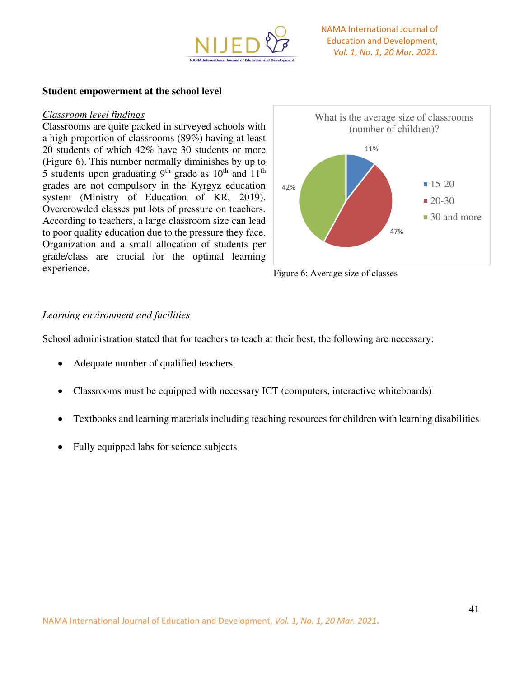

#### **Student empowerment at the school level**

#### *Classroom level findings*

Classrooms are quite packed in surveyed schools with a high proportion of classrooms (89%) having at least 20 students of which 42% have 30 students or more (Figure 6). This number normally diminishes by up to 5 students upon graduating  $9<sup>th</sup>$  grade as  $10<sup>th</sup>$  and  $11<sup>th</sup>$ grades are not compulsory in the Kyrgyz education system (Ministry of Education of KR, 2019). Overcrowded classes put lots of pressure on teachers. According to teachers, a large classroom size can lead to poor quality education due to the pressure they face. Organization and a small allocation of students per grade/class are crucial for the optimal learning experience.



Figure 6: Average size of classes

#### *Learning environment and facilities*

School administration stated that for teachers to teach at their best, the following are necessary:

- Adequate number of qualified teachers
- Classrooms must be equipped with necessary ICT (computers, interactive whiteboards)
- Textbooks and learning materials including teaching resources for children with learning disabilities
- Fully equipped labs for science subjects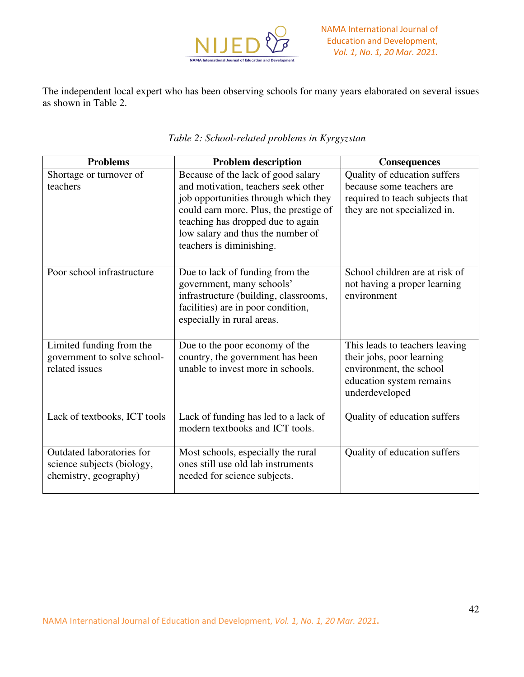

The independent local expert who has been observing schools for many years elaborated on several issues as shown in Table 2.

| <b>Problems</b>                                                                  | <b>Problem description</b>                                                                                                                                                                                                                                        | <b>Consequences</b>                                                                                                                  |
|----------------------------------------------------------------------------------|-------------------------------------------------------------------------------------------------------------------------------------------------------------------------------------------------------------------------------------------------------------------|--------------------------------------------------------------------------------------------------------------------------------------|
| Shortage or turnover of<br>teachers                                              | Because of the lack of good salary<br>and motivation, teachers seek other<br>job opportunities through which they<br>could earn more. Plus, the prestige of<br>teaching has dropped due to again<br>low salary and thus the number of<br>teachers is diminishing. | Quality of education suffers<br>because some teachers are<br>required to teach subjects that<br>they are not specialized in.         |
| Poor school infrastructure                                                       | Due to lack of funding from the<br>government, many schools'<br>infrastructure (building, classrooms,<br>facilities) are in poor condition,<br>especially in rural areas.                                                                                         | School children are at risk of<br>not having a proper learning<br>environment                                                        |
| Limited funding from the<br>government to solve school-<br>related issues        | Due to the poor economy of the<br>country, the government has been<br>unable to invest more in schools.                                                                                                                                                           | This leads to teachers leaving<br>their jobs, poor learning<br>environment, the school<br>education system remains<br>underdeveloped |
| Lack of textbooks, ICT tools                                                     | Lack of funding has led to a lack of<br>modern textbooks and ICT tools.                                                                                                                                                                                           | Quality of education suffers                                                                                                         |
| Outdated laboratories for<br>science subjects (biology,<br>chemistry, geography) | Most schools, especially the rural<br>ones still use old lab instruments<br>needed for science subjects.                                                                                                                                                          | Quality of education suffers                                                                                                         |

# *Table 2: School-related problems in Kyrgyzstan*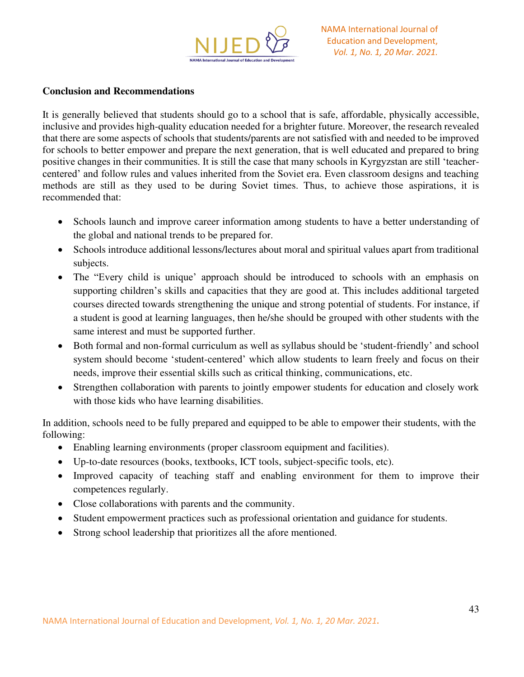

# **Conclusion and Recommendations**

It is generally believed that students should go to a school that is safe, affordable, physically accessible, inclusive and provides high-quality education needed for a brighter future. Moreover, the research revealed that there are some aspects of schools that students/parents are not satisfied with and needed to be improved for schools to better empower and prepare the next generation, that is well educated and prepared to bring positive changes in their communities. It is still the case that many schools in Kyrgyzstan are still 'teachercentered' and follow rules and values inherited from the Soviet era. Even classroom designs and teaching methods are still as they used to be during Soviet times. Thus, to achieve those aspirations, it is recommended that:

- Schools launch and improve career information among students to have a better understanding of the global and national trends to be prepared for.
- Schools introduce additional lessons/lectures about moral and spiritual values apart from traditional subjects.
- The "Every child is unique' approach should be introduced to schools with an emphasis on supporting children's skills and capacities that they are good at. This includes additional targeted courses directed towards strengthening the unique and strong potential of students. For instance, if a student is good at learning languages, then he/she should be grouped with other students with the same interest and must be supported further.
- Both formal and non-formal curriculum as well as syllabus should be 'student-friendly' and school system should become 'student-centered' which allow students to learn freely and focus on their needs, improve their essential skills such as critical thinking, communications, etc.
- Strengthen collaboration with parents to jointly empower students for education and closely work with those kids who have learning disabilities.

In addition, schools need to be fully prepared and equipped to be able to empower their students, with the following:

- Enabling learning environments (proper classroom equipment and facilities).
- Up-to-date resources (books, textbooks, ICT tools, subject-specific tools, etc).
- Improved capacity of teaching staff and enabling environment for them to improve their competences regularly.
- Close collaborations with parents and the community.
- Student empowerment practices such as professional orientation and guidance for students.
- Strong school leadership that prioritizes all the afore mentioned.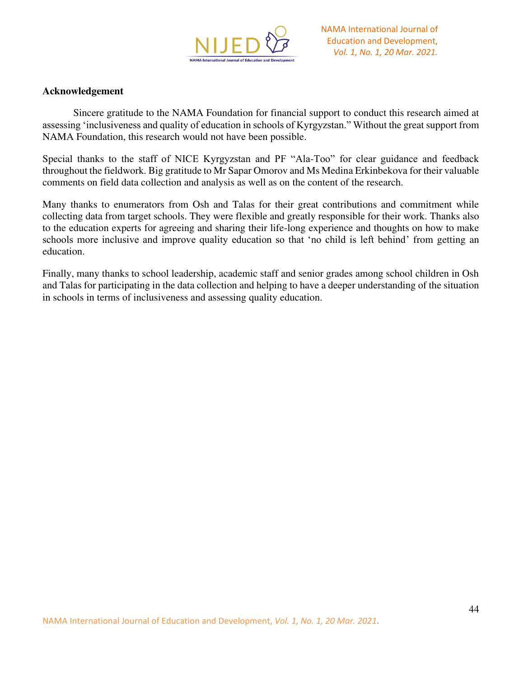

#### **Acknowledgement**

Sincere gratitude to the NAMA Foundation for financial support to conduct this research aimed at assessing 'inclusiveness and quality of education in schools of Kyrgyzstan." Without the great support from NAMA Foundation, this research would not have been possible.

Special thanks to the staff of NICE Kyrgyzstan and PF "Ala-Too" for clear guidance and feedback throughout the fieldwork. Big gratitude to Mr Sapar Omorov and Ms Medina Erkinbekova for their valuable comments on field data collection and analysis as well as on the content of the research.

Many thanks to enumerators from Osh and Talas for their great contributions and commitment while collecting data from target schools. They were flexible and greatly responsible for their work. Thanks also to the education experts for agreeing and sharing their life-long experience and thoughts on how to make schools more inclusive and improve quality education so that 'no child is left behind' from getting an education.

Finally, many thanks to school leadership, academic staff and senior grades among school children in Osh and Talas for participating in the data collection and helping to have a deeper understanding of the situation in schools in terms of inclusiveness and assessing quality education.